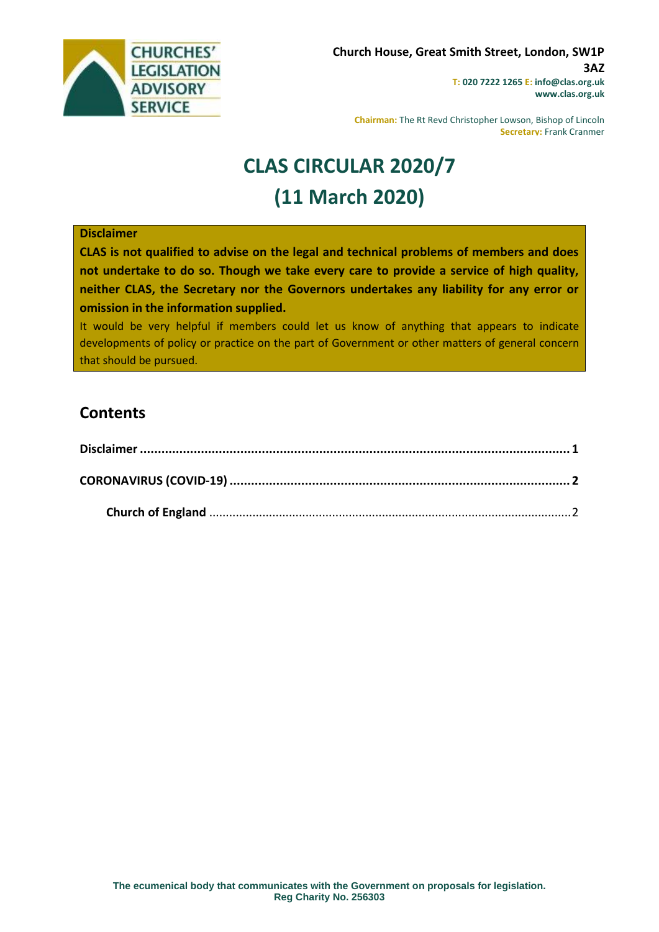

**Chairman:** The Rt Revd Christopher Lowson, Bishop of Lincoln **Secretary:** Frank Cranmer

# **CLAS CIRCULAR 2020/7 (11 March 2020)**

#### <span id="page-0-0"></span>**Disclaimer**

**CLAS is not qualified to advise on the legal and technical problems of members and does not undertake to do so. Though we take every care to provide a service of high quality, neither CLAS, the Secretary nor the Governors undertakes any liability for any error or omission in the information supplied.**

It would be very helpful if members could let us know of anything that appears to indicate developments of policy or practice on the part of Government or other matters of general concern that should be pursued.

## **Contents**